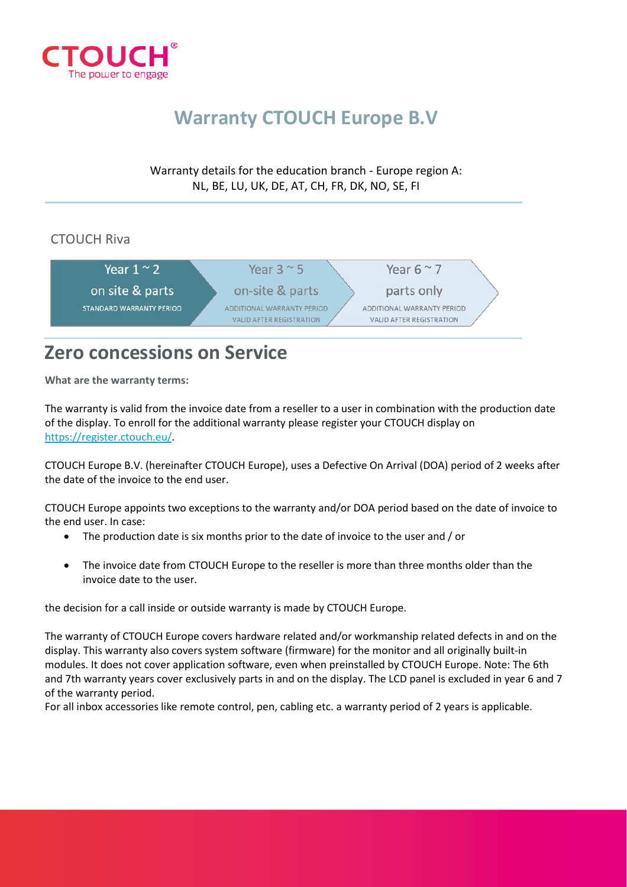

# **Warranty CTOUCH Europe B.V**

Warranty details for the education branch - Europe region A: NL, BE, LU, UK, DE, AT, CH, FR, DK, NO, SE, FI

### CTOUCH Riva



## **Zero concessions on Service**

**What are the warranty terms:**

The warranty is valid from the invoice date from a reseller to a user in combination with the production date of the display. To enroll for the additional warranty please register your CTOUCH display on [https://register.ctouch.eu/.](https://register.ctouch.eu/)

CTOUCH Europe B.V. (hereinafter CTOUCH Europe), uses a Defective On Arrival (DOA) period of 2 weeks after the date of the invoice to the end user.

CTOUCH Europe appoints two exceptions to the warranty and/or DOA period based on the date of invoice to the end user. In case:

- The production date is six months prior to the date of invoice to the user and / or
- The invoice date from CTOUCH Europe to the reseller is more than three months older than the invoice date to the user.

the decision for a call inside or outside warranty is made by CTOUCH Europe.

The warranty of CTOUCH Europe covers hardware related and/or workmanship related defects in and on the display. This warranty also covers system software (firmware) for the monitor and all originally built-in modules. It does not cover application software, even when preinstalled by CTOUCH Europe. Note: The 6th and 7th warranty years cover exclusively parts in and on the display. The LCD panel is excluded in year 6 and 7 of the warranty period.

For all inbox accessories like remote control, pen, cabling etc. a warranty period of 2 years is applicable.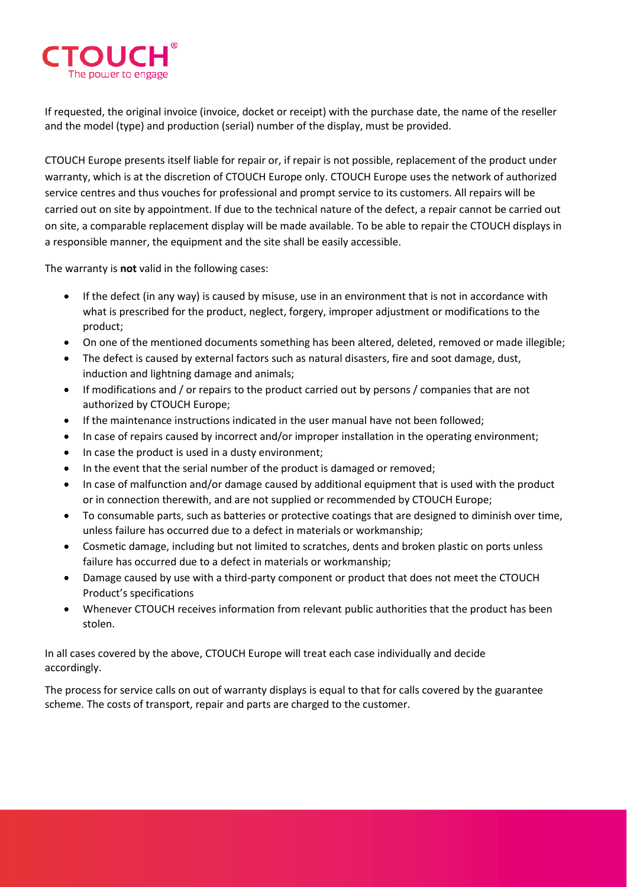

If requested, the original invoice (invoice, docket or receipt) with the purchase date, the name of the reseller and the model (type) and production (serial) number of the display, must be provided.

CTOUCH Europe presents itself liable for repair or, if repair is not possible, replacement of the product under warranty, which is at the discretion of CTOUCH Europe only. CTOUCH Europe uses the network of authorized service centres and thus vouches for professional and prompt service to its customers. All repairs will be carried out on site by appointment. If due to the technical nature of the defect, a repair cannot be carried out on site, a comparable replacement display will be made available. To be able to repair the CTOUCH displays in a responsible manner, the equipment and the site shall be easily accessible.

The warranty is **not** valid in the following cases:

- If the defect (in any way) is caused by misuse, use in an environment that is not in accordance with what is prescribed for the product, neglect, forgery, improper adjustment or modifications to the product;
- On one of the mentioned documents something has been altered, deleted, removed or made illegible;
- The defect is caused by external factors such as natural disasters, fire and soot damage, dust, induction and lightning damage and animals;
- If modifications and / or repairs to the product carried out by persons / companies that are not authorized by CTOUCH Europe;
- If the maintenance instructions indicated in the user manual have not been followed;
- In case of repairs caused by incorrect and/or improper installation in the operating environment;
- In case the product is used in a dusty environment;
- In the event that the serial number of the product is damaged or removed;
- In case of malfunction and/or damage caused by additional equipment that is used with the product or in connection therewith, and are not supplied or recommended by CTOUCH Europe;
- To consumable parts, such as batteries or protective coatings that are designed to diminish over time, unless failure has occurred due to a defect in materials or workmanship;
- Cosmetic damage, including but not limited to scratches, dents and broken plastic on ports unless failure has occurred due to a defect in materials or workmanship;
- Damage caused by use with a third-party component or product that does not meet the CTOUCH Product's specifications
- Whenever CTOUCH receives information from relevant public authorities that the product has been stolen.

In all cases covered by the above, CTOUCH Europe will treat each case individually and decide accordingly.

The process for service calls on out of warranty displays is equal to that for calls covered by the guarantee scheme. The costs of transport, repair and parts are charged to the customer.